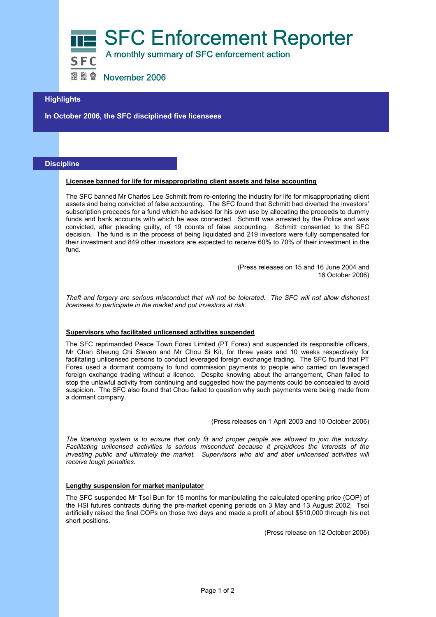**SFC Enforcement Reporter** A monthly summary of SFC enforcement action



證監會 November 2006

# **Highlights**

**In October 2006, the SFC disciplined five licensees** 

## **Discipline**

#### **Licensee banned for life for misappropriating client assets and false accounting**

The SFC banned Mr Charles Lee Schmitt from re-entering the industry for life for misappropriating client assets and being convicted of false accounting. The SFC found that Schmitt had diverted the investors' subscription proceeds for a fund which he advised for his own use by allocating the proceeds to dummy funds and bank accounts with which he was connected. Schmitt was arrested by the Police and was convicted, after pleading guilty, of 19 counts of false accounting. Schmitt consented to the SFC decision. The fund is in the process of being liquidated and 219 investors were fully compensated for their investment and 849 other investors are expected to receive 60% to 70% of their investment in the fund.

> (Press releases on 15 and 16 June 2004 and 18 October 2006)

*Theft and forgery are serious misconduct that will not be tolerated. The SFC will not allow dishonest licensees to participate in the market and put investors at risk.* 

### **Supervisors who facilitated unlicensed activities suspended**

The SFC reprimanded Peace Town Forex Limited (PT Forex) and suspended its responsible officers, Mr Chan Sheung Chi Steven and Mr Chou Si Kit, for three years and 10 weeks respectively for facilitating unlicensed persons to conduct leveraged foreign exchange trading. The SFC found that PT Forex used a dormant company to fund commission payments to people who carried on leveraged foreign exchange trading without a licence. Despite knowing about the arrangement, Chan failed to stop the unlawful activity from continuing and suggested how the payments could be concealed to avoid suspicion. The SFC also found that Chou failed to question why such payments were being made from a dormant company.

(Press releases on 1 April 2003 and 10 October 2006)

*The licensing system is to ensure that only fit and proper people are allowed to join the industry. Facilitating unlicensed activities is serious misconduct because it prejudices the interests of the*  investing public and ultimately the market. Supervisors who aid and abet unlicensed activities will *receive tough penalties.* 

#### **Lengthy suspension for market manipulator**

The SFC suspended Mr Tsoi Bun for 15 months for manipulating the calculated opening price (COP) of the HSI futures contracts during the pre-market opening periods on 3 May and 13 August 2002. Tsoi artificially raised the final COPs on those two days and made a profit of about \$510,000 through his net short positions.

(Press release on 12 October 2006)